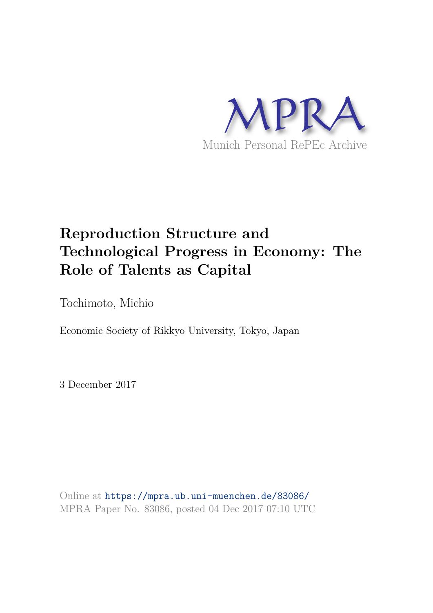

# **Reproduction Structure and Technological Progress in Economy: The Role of Talents as Capital**

Tochimoto, Michio

Economic Society of Rikkyo University, Tokyo, Japan

3 December 2017

Online at https://mpra.ub.uni-muenchen.de/83086/ MPRA Paper No. 83086, posted 04 Dec 2017 07:10 UTC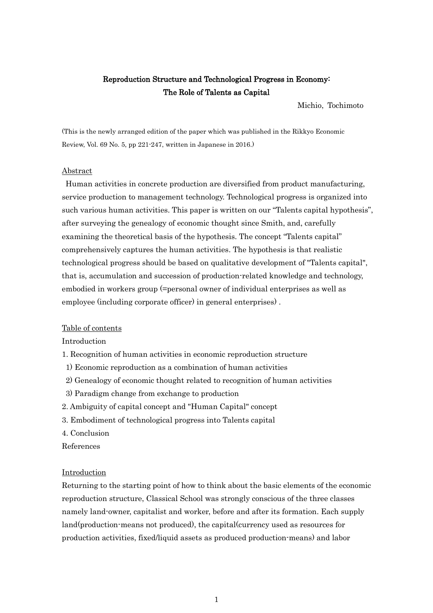# Reproduction Structure and Technological Progress in Economy: The Role of Talents as Capital

Michio, Tochimoto

(This is the newly arranged edition of the paper which was published in the Rikkyo Economic Review, Vol. 69 No. 5, pp 221-247, written in Japanese in 2016.)

# Abstract

 Human activities in concrete production are diversified from product manufacturing, service production to management technology. Technological progress is organized into such various human activities. This paper is written on our "Talents capital hypothesis", after surveying the genealogy of economic thought since Smith, and, carefully examining the theoretical basis of the hypothesis. The concept "Talents capital" comprehensively captures the human activities. The hypothesis is that realistic technological progress should be based on qualitative development of "Talents capital", that is, accumulation and succession of production-related knowledge and technology, embodied in workers group (=personal owner of individual enterprises as well as employee (including corporate officer) in general enterprises) .

# Table of contents

Introduction

- 1. Recognition of human activities in economic reproduction structure
- 1) Economic reproduction as a combination of human activities
- 2) Genealogy of economic thought related to recognition of human activities
- 3) Paradigm change from exchange to production
- 2. Ambiguity of capital concept and "Human Capital" concept
- 3. Embodiment of technological progress into Talents capital
- 4. Conclusion

References

#### **Introduction**

Returning to the starting point of how to think about the basic elements of the economic reproduction structure, Classical School was strongly conscious of the three classes namely land-owner, capitalist and worker, before and after its formation. Each supply land(production-means not produced), the capital(currency used as resources for production activities, fixed/liquid assets as produced production-means) and labor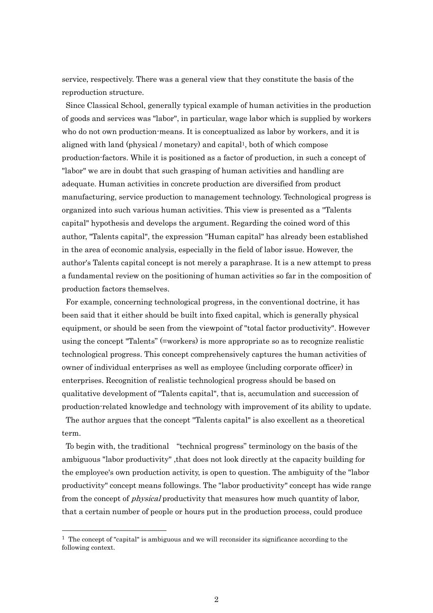service, respectively. There was a general view that they constitute the basis of the reproduction structure.

Since Classical School, generally typical example of human activities in the production of goods and services was "labor", in particular, wage labor which is supplied by workers who do not own production-means. It is conceptualized as labor by workers, and it is aligned with land (physical / monetary) and capital1, both of which compose production-factors. While it is positioned as a factor of production, in such a concept of "labor" we are in doubt that such grasping of human activities and handling are adequate. Human activities in concrete production are diversified from product manufacturing, service production to management technology. Technological progress is organized into such various human activities. This view is presented as a "Talents capital" hypothesis and develops the argument. Regarding the coined word of this author, "Talents capital", the expression "Human capital" has already been established in the area of economic analysis, especially in the field of labor issue. However, the author's Talents capital concept is not merely a paraphrase. It is a new attempt to press a fundamental review on the positioning of human activities so far in the composition of production factors themselves.

For example, concerning technological progress, in the conventional doctrine, it has been said that it either should be built into fixed capital, which is generally physical equipment, or should be seen from the viewpoint of "total factor productivity". However using the concept "Talents" (=workers) is more appropriate so as to recognize realistic technological progress. This concept comprehensively captures the human activities of owner of individual enterprises as well as employee (including corporate officer) in enterprises. Recognition of realistic technological progress should be based on qualitative development of "Talents capital", that is, accumulation and succession of production-related knowledge and technology with improvement of its ability to update. The author argues that the concept "Talents capital" is also excellent as a theoretical term.

To begin with, the traditional "technical progress" terminology on the basis of the ambiguous "labor productivity", that does not look directly at the capacity building for the employee's own production activity, is open to question. The ambiguity of the "labor productivity" concept means followings. The "labor productivity" concept has wide range from the concept of *physical* productivity that measures how much quantity of labor, that a certain number of people or hours put in the production process, could produce

 $<sup>1</sup>$  The concept of "capital" is ambiguous and we will reconsider its significance according to the</sup> following context.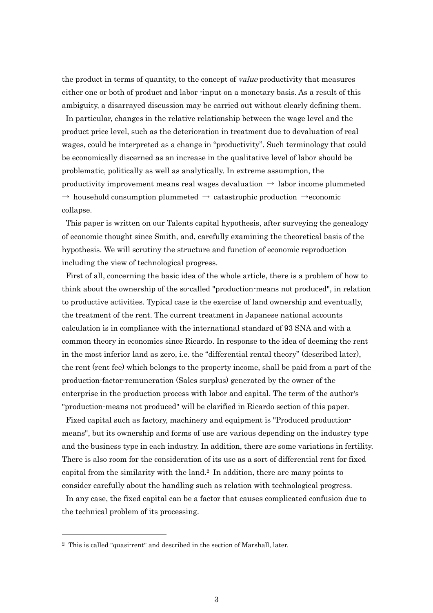the product in terms of quantity, to the concept of *value* productivity that measures either one or both of product and labor -input on a monetary basis. As a result of this ambiguity, a disarrayed discussion may be carried out without clearly defining them.

 In particular, changes in the relative relationship between the wage level and the product price level, such as the deterioration in treatment due to devaluation of real wages, could be interpreted as a change in "productivity". Such terminology that could be economically discerned as an increase in the qualitative level of labor should be problematic, politically as well as analytically. In extreme assumption, the productivity improvement means real wages devaluation  $\rightarrow$  labor income plummeted  $\rightarrow$  household consumption plummeted  $\rightarrow$  catastrophic production  $\rightarrow$ economic collapse.

This paper is written on our Talents capital hypothesis, after surveying the genealogy of economic thought since Smith, and, carefully examining the theoretical basis of the hypothesis. We will scrutiny the structure and function of economic reproduction including the view of technological progress.

First of all, concerning the basic idea of the whole article, there is a problem of how to think about the ownership of the so-called "production-means not produced", in relation to productive activities. Typical case is the exercise of land ownership and eventually, the treatment of the rent. The current treatment in Japanese national accounts calculation is in compliance with the international standard of 93 SNA and with a common theory in economics since Ricardo. In response to the idea of deeming the rent in the most inferior land as zero, i.e. the "differential rental theory" (described later), the rent (rent fee) which belongs to the property income, shall be paid from a part of the production-factor-remuneration (Sales surplus) generated by the owner of the enterprise in the production process with labor and capital. The term of the author's "production-means not produced" will be clarified in Ricardo section of this paper.

Fixed capital such as factory, machinery and equipment is "Produced productionmeans", but its ownership and forms of use are various depending on the industry type and the business type in each industry. In addition, there are some variations in fertility. There is also room for the consideration of its use as a sort of differential rent for fixed capital from the similarity with the land.2 In addition, there are many points to consider carefully about the handling such as relation with technological progress.

In any case, the fixed capital can be a factor that causes complicated confusion due to the technical problem of its processing.

<sup>2</sup> This is called "quasi-rent" and described in the section of Marshall, later.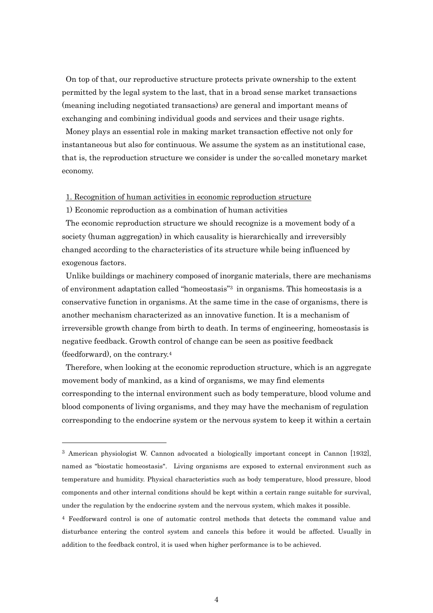On top of that, our reproductive structure protects private ownership to the extent permitted by the legal system to the last, that in a broad sense market transactions (meaning including negotiated transactions) are general and important means of exchanging and combining individual goods and services and their usage rights.

Money plays an essential role in making market transaction effective not only for instantaneous but also for continuous. We assume the system as an institutional case, that is, the reproduction structure we consider is under the so-called monetary market economy.

# 1. Recognition of human activities in economic reproduction structure

1) Economic reproduction as a combination of human activities

1

The economic reproduction structure we should recognize is a movement body of a society (human aggregation) in which causality is hierarchically and irreversibly changed according to the characteristics of its structure while being influenced by exogenous factors.

Unlike buildings or machinery composed of inorganic materials, there are mechanisms of environment adaptation called "homeostasis" <sup>3</sup> in organisms. This homeostasis is a conservative function in organisms. At the same time in the case of organisms, there is another mechanism characterized as an innovative function. It is a mechanism of irreversible growth change from birth to death. In terms of engineering, homeostasis is negative feedback. Growth control of change can be seen as positive feedback (feedforward), on the contrary.<sup>4</sup>

Therefore, when looking at the economic reproduction structure, which is an aggregate movement body of mankind, as a kind of organisms, we may find elements corresponding to the internal environment such as body temperature, blood volume and blood components of living organisms, and they may have the mechanism of regulation corresponding to the endocrine system or the nervous system to keep it within a certain

<sup>3</sup> American physiologist W. Cannon advocated a biologically important concept in Cannon [1932], named as "biostatic homeostasis". Living organisms are exposed to external environment such as temperature and humidity. Physical characteristics such as body temperature, blood pressure, blood components and other internal conditions should be kept within a certain range suitable for survival, under the regulation by the endocrine system and the nervous system, which makes it possible.

<sup>4</sup> Feedforward control is one of automatic control methods that detects the command value and disturbance entering the control system and cancels this before it would be affected. Usually in addition to the feedback control, it is used when higher performance is to be achieved.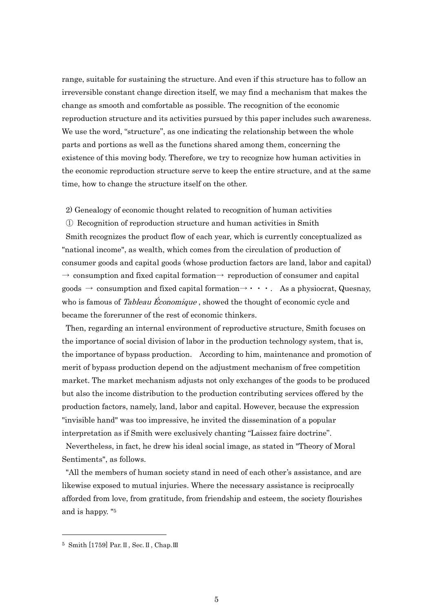range, suitable for sustaining the structure. And even if this structure has to follow an irreversible constant change direction itself, we may find a mechanism that makes the change as smooth and comfortable as possible. The recognition of the economic reproduction structure and its activities pursued by this paper includes such awareness. We use the word, "structure", as one indicating the relationship between the whole parts and portions as well as the functions shared among them, concerning the existence of this moving body. Therefore, we try to recognize how human activities in the economic reproduction structure serve to keep the entire structure, and at the same time, how to change the structure itself on the other.

2) Genealogy of economic thought related to recognition of human activities

① Recognition of reproduction structure and human activities in Smith Smith recognizes the product flow of each year, which is currently conceptualized as "national income", as wealth, which comes from the circulation of production of consumer goods and capital goods (whose production factors are land, labor and capital)  $\rightarrow$  consumption and fixed capital formation $\rightarrow$  reproduction of consumer and capital goods  $\rightarrow$  consumption and fixed capital formation $\rightarrow \cdot \cdot \cdot$ . As a physiocrat, Quesnay, who is famous of Tableau Economique, showed the thought of economic cycle and became the forerunner of the rest of economic thinkers.

Then, regarding an internal environment of reproductive structure, Smith focuses on the importance of social division of labor in the production technology system, that is, the importance of bypass production. According to him, maintenance and promotion of merit of bypass production depend on the adjustment mechanism of free competition market. The market mechanism adjusts not only exchanges of the goods to be produced but also the income distribution to the production contributing services offered by the production factors, namely, land, labor and capital. However, because the expression "invisible hand" was too impressive, he invited the dissemination of a popular interpretation as if Smith were exclusively chanting "Laissez faire doctrine".

Nevertheless, in fact, he drew his ideal social image, as stated in "Theory of Moral Sentiments", as follows.

"All the members of human society stand in need of each other's assistance, and are likewise exposed to mutual injuries. Where the necessary assistance is reciprocally afforded from love, from gratitude, from friendship and esteem, the society flourishes and is happy. "<sup>5</sup>

<sup>5</sup> Smith [1759] Par.Ⅱ, Sec.Ⅱ, Chap.Ⅲ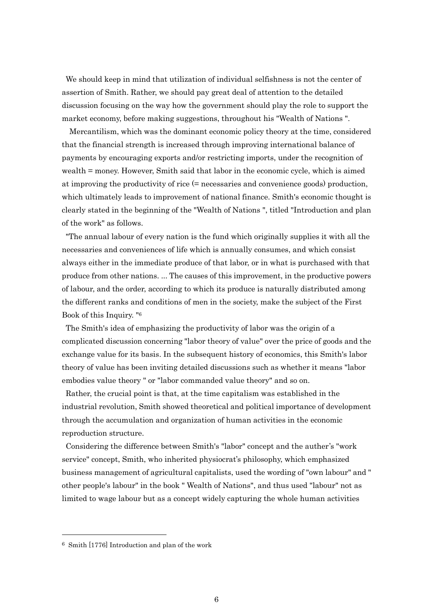We should keep in mind that utilization of individual selfishness is not the center of assertion of Smith. Rather, we should pay great deal of attention to the detailed discussion focusing on the way how the government should play the role to support the market economy, before making suggestions, throughout his "Wealth of Nations ".

 Mercantilism, which was the dominant economic policy theory at the time, considered that the financial strength is increased through improving international balance of payments by encouraging exports and/or restricting imports, under the recognition of wealth = money. However, Smith said that labor in the economic cycle, which is aimed at improving the productivity of rice (= necessaries and convenience goods) production, which ultimately leads to improvement of national finance. Smith's economic thought is clearly stated in the beginning of the "Wealth of Nations ", titled "Introduction and plan of the work" as follows.

"The annual labour of every nation is the fund which originally supplies it with all the necessaries and conveniences of life which is annually consumes, and which consist always either in the immediate produce of that labor, or in what is purchased with that produce from other nations. ... The causes of this improvement, in the productive powers of labour, and the order, according to which its produce is naturally distributed among the different ranks and conditions of men in the society, make the subject of the First Book of this Inquiry. " 6

The Smith's idea of emphasizing the productivity of labor was the origin of a complicated discussion concerning "labor theory of value" over the price of goods and the exchange value for its basis. In the subsequent history of economics, this Smith's labor theory of value has been inviting detailed discussions such as whether it means "labor embodies value theory " or "labor commanded value theory" and so on.

Rather, the crucial point is that, at the time capitalism was established in the industrial revolution, Smith showed theoretical and political importance of development through the accumulation and organization of human activities in the economic reproduction structure.

Considering the difference between Smith's "labor" concept and the auther's "work service" concept, Smith, who inherited physiocrat's philosophy, which emphasized business management of agricultural capitalists, used the wording of "own labour" and " other people's labour" in the book " Wealth of Nations", and thus used "labour" not as limited to wage labour but as a concept widely capturing the whole human activities

<sup>6</sup> Smith [1776] Introduction and plan of the work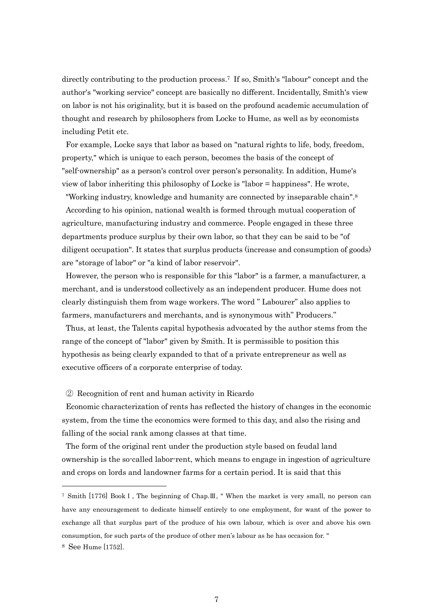directly contributing to the production process.7 If so, Smith's "labour" concept and the author's "working service" concept are basically no different. Incidentally, Smith's view on labor is not his originality, but it is based on the profound academic accumulation of thought and research by philosophers from Locke to Hume, as well as by economists including Petit etc.

For example, Locke says that labor as based on "natural rights to life, body, freedom, property," which is unique to each person, becomes the basis of the concept of "self-ownership" as a person's control over person's personality. In addition, Hume's view of labor inheriting this philosophy of Locke is "labor = happiness". He wrote,

"Working industry, knowledge and humanity are connected by inseparable chain".<sup>8</sup> According to his opinion, national wealth is formed through mutual cooperation of agriculture, manufacturing industry and commerce. People engaged in these three departments produce surplus by their own labor, so that they can be said to be "of diligent occupation". It states that surplus products (increase and consumption of goods) are "storage of labor" or "a kind of labor reservoir".

However, the person who is responsible for this "labor" is a farmer, a manufacturer, a merchant, and is understood collectively as an independent producer. Hume does not clearly distinguish them from wage workers. The word " Labourer" also applies to farmers, manufacturers and merchants, and is synonymous with" Producers."

Thus, at least, the Talents capital hypothesis advocated by the author stems from the range of the concept of "labor" given by Smith. It is permissible to position this hypothesis as being clearly expanded to that of a private entrepreneur as well as executive officers of a corporate enterprise of today.

② Recognition of rent and human activity in Ricardo

Economic characterization of rents has reflected the history of changes in the economic system, from the time the economics were formed to this day, and also the rising and falling of the social rank among classes at that time.

The form of the original rent under the production style based on feudal land ownership is the so-called labor-rent, which means to engage in ingestion of agriculture and crops on lords and landowner farms for a certain period. It is said that this

<sup>7</sup> Smith [1776] BookⅠ, The beginning of Chap.Ⅲ, " When the market is very small, no person can have any encouragement to dedicate himself entirely to one employment, for want of the power to exchange all that surplus part of the produce of his own labour, which is over and above his own consumption, for such parts of the produce of other men's labour as he has occasion for. "

<sup>8</sup> See Hume [1752].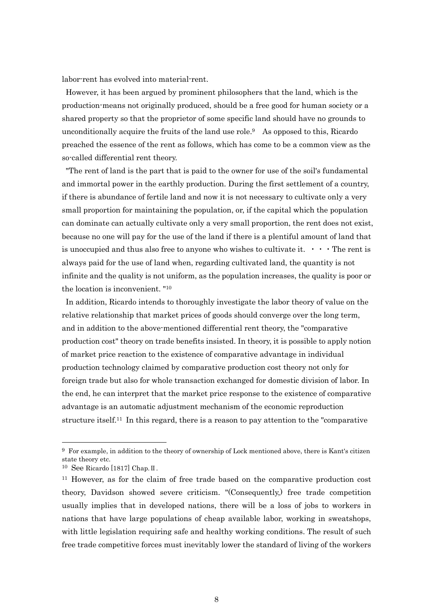labor-rent has evolved into material-rent.

However, it has been argued by prominent philosophers that the land, which is the production-means not originally produced, should be a free good for human society or a shared property so that the proprietor of some specific land should have no grounds to unconditionally acquire the fruits of the land use role.<sup>9</sup> As opposed to this, Ricardo preached the essence of the rent as follows, which has come to be a common view as the so-called differential rent theory.

"The rent of land is the part that is paid to the owner for use of the soil's fundamental and immortal power in the earthly production. During the first settlement of a country, if there is abundance of fertile land and now it is not necessary to cultivate only a very small proportion for maintaining the population, or, if the capital which the population can dominate can actually cultivate only a very small proportion, the rent does not exist, because no one will pay for the use of the land if there is a plentiful amount of land that is unoccupied and thus also free to anyone who wishes to cultivate it.  $\cdot \cdot \cdot$  The rent is always paid for the use of land when, regarding cultivated land, the quantity is not infinite and the quality is not uniform, as the population increases, the quality is poor or the location is inconvenient. "<sup>10</sup>

In addition, Ricardo intends to thoroughly investigate the labor theory of value on the relative relationship that market prices of goods should converge over the long term, and in addition to the above-mentioned differential rent theory, the "comparative production cost" theory on trade benefits insisted. In theory, it is possible to apply notion of market price reaction to the existence of comparative advantage in individual production technology claimed by comparative production cost theory not only for foreign trade but also for whole transaction exchanged for domestic division of labor. In the end, he can interpret that the market price response to the existence of comparative advantage is an automatic adjustment mechanism of the economic reproduction structure itself.11 In this regard, there is a reason to pay attention to the "comparative

<sup>9</sup> For example, in addition to the theory of ownership of Lock mentioned above, there is Kant's citizen state theory etc.

<sup>10</sup> See Ricardo [1817] Chap.Ⅱ.

<sup>11</sup> However, as for the claim of free trade based on the comparative production cost theory, Davidson showed severe criticism. "(Consequently,) free trade competition usually implies that in developed nations, there will be a loss of jobs to workers in nations that have large populations of cheap available labor, working in sweatshops, with little legislation requiring safe and healthy working conditions. The result of such free trade competitive forces must inevitably lower the standard of living of the workers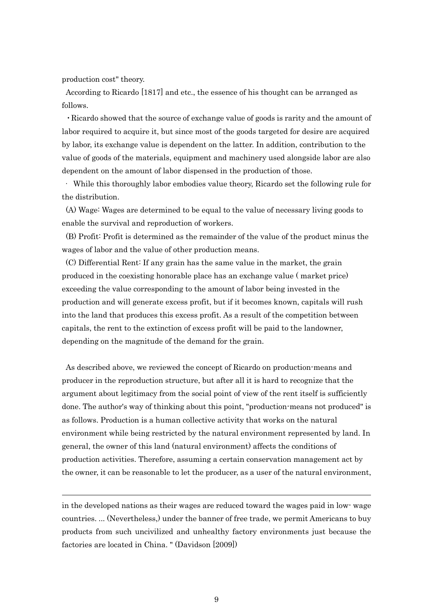production cost" theory.

1

According to Ricardo [1817] and etc., the essence of his thought can be arranged as follows.

・Ricardo showed that the source of exchange value of goods is rarity and the amount of labor required to acquire it, but since most of the goods targeted for desire are acquired by labor, its exchange value is dependent on the latter. In addition, contribution to the value of goods of the materials, equipment and machinery used alongside labor are also dependent on the amount of labor dispensed in the production of those.

· While this thoroughly labor embodies value theory, Ricardo set the following rule for the distribution.

(A) Wage: Wages are determined to be equal to the value of necessary living goods to enable the survival and reproduction of workers.

(B) Profit: Profit is determined as the remainder of the value of the product minus the wages of labor and the value of other production means.

 (C) Differential Rent: If any grain has the same value in the market, the grain produced in the coexisting honorable place has an exchange value ( market price) exceeding the value corresponding to the amount of labor being invested in the production and will generate excess profit, but if it becomes known, capitals will rush into the land that produces this excess profit. As a result of the competition between capitals, the rent to the extinction of excess profit will be paid to the landowner, depending on the magnitude of the demand for the grain.

As described above, we reviewed the concept of Ricardo on production-means and producer in the reproduction structure, but after all it is hard to recognize that the argument about legitimacy from the social point of view of the rent itself is sufficiently done. The author's way of thinking about this point, "production-means not produced" is as follows. Production is a human collective activity that works on the natural environment while being restricted by the natural environment represented by land. In general, the owner of this land (natural environment) affects the conditions of production activities. Therefore, assuming a certain conservation management act by the owner, it can be reasonable to let the producer, as a user of the natural environment,

in the developed nations as their wages are reduced toward the wages paid in low- wage countries. ... (Nevertheless,) under the banner of free trade, we permit Americans to buy products from such uncivilized and unhealthy factory environments just because the factories are located in China. " (Davidson [2009])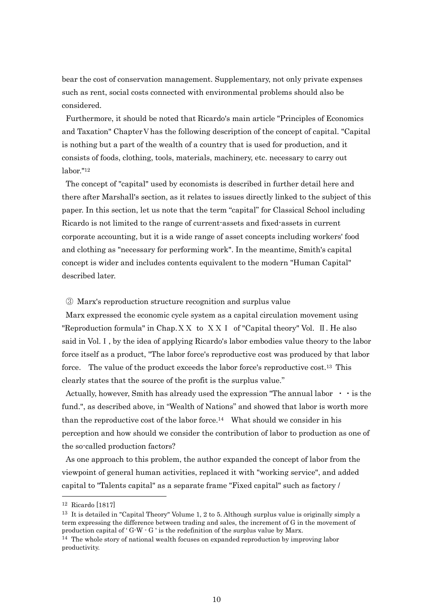bear the cost of conservation management. Supplementary, not only private expenses such as rent, social costs connected with environmental problems should also be considered.

Furthermore, it should be noted that Ricardo's main article "Principles of Economics and Taxation" ChapterⅤhas the following description of the concept of capital. "Capital is nothing but a part of the wealth of a country that is used for production, and it consists of foods, clothing, tools, materials, machinery, etc. necessary to carry out labor."<sup>12</sup>

The concept of "capital" used by economists is described in further detail here and there after Marshall's section, as it relates to issues directly linked to the subject of this paper. In this section, let us note that the term "capital" for Classical School including Ricardo is not limited to the range of current-assets and fixed-assets in current corporate accounting, but it is a wide range of asset concepts including workers' food and clothing as "necessary for performing work". In the meantime, Smith's capital concept is wider and includes contents equivalent to the modern "Human Capital" described later.

#### ③ Marx's reproduction structure recognition and surplus value

Marx expressed the economic cycle system as a capital circulation movement using "Reproduction formula" in Chap. $X X$  to  $X X I$  of "Capital theory" Vol. II. He also said in Vol.Ⅰ, by the idea of applying Ricardo's labor embodies value theory to the labor force itself as a product, "The labor force's reproductive cost was produced by that labor force. The value of the product exceeds the labor force's reproductive cost.<sup>13</sup> This clearly states that the source of the profit is the surplus value."

Actually, however, Smith has already used the expression "The annual labor  $\cdot \cdot$  is the fund.", as described above, in "Wealth of Nations" and showed that labor is worth more than the reproductive cost of the labor force.14 What should we consider in his perception and how should we consider the contribution of labor to production as one of the so-called production factors?

As one approach to this problem, the author expanded the concept of labor from the viewpoint of general human activities, replaced it with "working service", and added capital to "Talents capital" as a separate frame "Fixed capital" such as factory /

<sup>12</sup> Ricardo [1817]

 $13$  It is detailed in "Capital Theory" Volume 1, 2 to 5. Although surplus value is originally simply a term expressing the difference between trading and sales, the increment of G in the movement of production capital of  $G-W-G'$  is the redefinition of the surplus value by Marx.

 $14$  The whole story of national wealth focuses on expanded reproduction by improving labor productivity.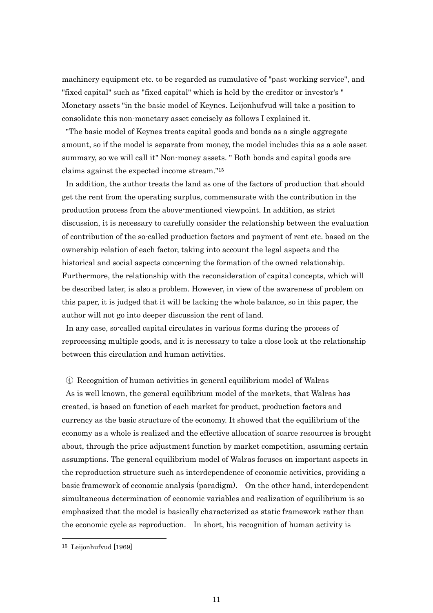machinery equipment etc. to be regarded as cumulative of "past working service", and "fixed capital" such as "fixed capital" which is held by the creditor or investor's " Monetary assets "in the basic model of Keynes. Leijonhufvud will take a position to consolidate this non-monetary asset concisely as follows I explained it.

"The basic model of Keynes treats capital goods and bonds as a single aggregate amount, so if the model is separate from money, the model includes this as a sole asset summary, so we will call it" Non-money assets. " Both bonds and capital goods are claims against the expected income stream."<sup>15</sup>

In addition, the author treats the land as one of the factors of production that should get the rent from the operating surplus, commensurate with the contribution in the production process from the above-mentioned viewpoint. In addition, as strict discussion, it is necessary to carefully consider the relationship between the evaluation of contribution of the so-called production factors and payment of rent etc. based on the ownership relation of each factor, taking into account the legal aspects and the historical and social aspects concerning the formation of the owned relationship. Furthermore, the relationship with the reconsideration of capital concepts, which will be described later, is also a problem. However, in view of the awareness of problem on this paper, it is judged that it will be lacking the whole balance, so in this paper, the author will not go into deeper discussion the rent of land.

In any case, so-called capital circulates in various forms during the process of reprocessing multiple goods, and it is necessary to take a close look at the relationship between this circulation and human activities.

#### ④ Recognition of human activities in general equilibrium model of Walras

As is well known, the general equilibrium model of the markets, that Walras has created, is based on function of each market for product, production factors and currency as the basic structure of the economy. It showed that the equilibrium of the economy as a whole is realized and the effective allocation of scarce resources is brought about, through the price adjustment function by market competition, assuming certain assumptions. The general equilibrium model of Walras focuses on important aspects in the reproduction structure such as interdependence of economic activities, providing a basic framework of economic analysis (paradigm). On the other hand, interdependent simultaneous determination of economic variables and realization of equilibrium is so emphasized that the model is basically characterized as static framework rather than the economic cycle as reproduction. In short, his recognition of human activity is

<sup>15</sup> Leijonhufvud [1969]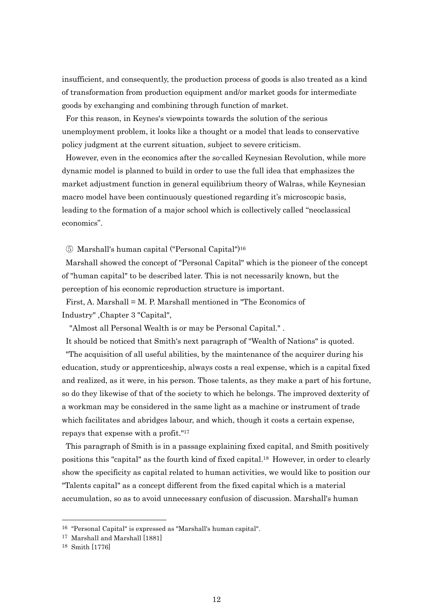insufficient, and consequently, the production process of goods is also treated as a kind of transformation from production equipment and/or market goods for intermediate goods by exchanging and combining through function of market.

For this reason, in Keynes's viewpoints towards the solution of the serious unemployment problem, it looks like a thought or a model that leads to conservative policy judgment at the current situation, subject to severe criticism.

 However, even in the economics after the so-called Keynesian Revolution, while more dynamic model is planned to build in order to use the full idea that emphasizes the market adjustment function in general equilibrium theory of Walras, while Keynesian macro model have been continuously questioned regarding it's microscopic basis, leading to the formation of a major school which is collectively called "neoclassical economics".

⑤ Marshall's human capital ("Personal Capital")<sup>16</sup>

Marshall showed the concept of "Personal Capital" which is the pioneer of the concept of "human capital" to be described later. This is not necessarily known, but the perception of his economic reproduction structure is important.

First, A. Marshall = M. P. Marshall mentioned in "The Economics of Industry" ,Chapter 3 "Capital",

"Almost all Personal Wealth is or may be Personal Capital." .

It should be noticed that Smith's next paragraph of "Wealth of Nations" is quoted. "The acquisition of all useful abilities, by the maintenance of the acquirer during his education, study or apprenticeship, always costs a real expense, which is a capital fixed and realized, as it were, in his person. Those talents, as they make a part of his fortune, so do they likewise of that of the society to which he belongs. The improved dexterity of a workman may be considered in the same light as a machine or instrument of trade which facilitates and abridges labour, and which, though it costs a certain expense, repays that expense with a profit."<sup>17</sup>

This paragraph of Smith is in a passage explaining fixed capital, and Smith positively positions this "capital" as the fourth kind of fixed capital.18 However, in order to clearly show the specificity as capital related to human activities, we would like to position our "Talents capital" as a concept different from the fixed capital which is a material accumulation, so as to avoid unnecessary confusion of discussion. Marshall's human

<sup>16</sup> "Personal Capital" is expressed as "Marshall's human capital".

<sup>17</sup> Marshall and Marshall [1881]

<sup>18</sup> Smith [1776]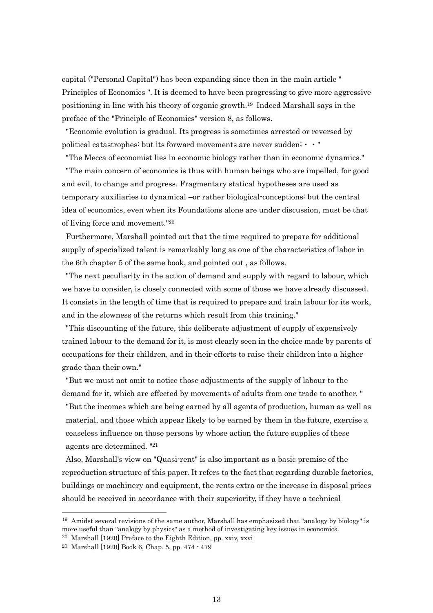capital ("Personal Capital") has been expanding since then in the main article " Principles of Economics ". It is deemed to have been progressing to give more aggressive positioning in line with his theory of organic growth.19 Indeed Marshall says in the preface of the "Principle of Economics" version 8, as follows.

"Economic evolution is gradual. Its progress is sometimes arrested or reversed by political catastrophes: but its forward movements are never sudden;・・"

 "The Mecca of economist lies in economic biology rather than in economic dynamics." "The main concern of economics is thus with human beings who are impelled, for good and evil, to change and progress. Fragmentary statical hypotheses are used as temporary auxiliaries to dynamical –or rather biological-conceptions: but the central idea of economics, even when its Foundations alone are under discussion, must be that of living force and movement."<sup>20</sup>

Furthermore, Marshall pointed out that the time required to prepare for additional supply of specialized talent is remarkably long as one of the characteristics of labor in the 6th chapter 5 of the same book, and pointed out , as follows.

"The next peculiarity in the action of demand and supply with regard to labour, which we have to consider, is closely connected with some of those we have already discussed. It consists in the length of time that is required to prepare and train labour for its work, and in the slowness of the returns which result from this training."

"This discounting of the future, this deliberate adjustment of supply of expensively trained labour to the demand for it, is most clearly seen in the choice made by parents of occupations for their children, and in their efforts to raise their children into a higher grade than their own."

"But we must not omit to notice those adjustments of the supply of labour to the demand for it, which are effected by movements of adults from one trade to another. " "But the incomes which are being earned by all agents of production, human as well as material, and those which appear likely to be earned by them in the future, exercise a

ceaseless influence on those persons by whose action the future supplies of these agents are determined. "<sup>21</sup>

Also, Marshall's view on "Quasi-rent" is also important as a basic premise of the reproduction structure of this paper. It refers to the fact that regarding durable factories, buildings or machinery and equipment, the rents extra or the increase in disposal prices should be received in accordance with their superiority, if they have a technical

 $19$  Amidst several revisions of the same author, Marshall has emphasized that "analogy by biology" is more useful than "analogy by physics" as a method of investigating key issues in economics.

<sup>20</sup> Marshall [1920] Preface to the Eighth Edition, pp. xxiv, xxvi

<sup>21</sup> Marshall [1920] Book 6, Chap. 5, pp. 474 - 479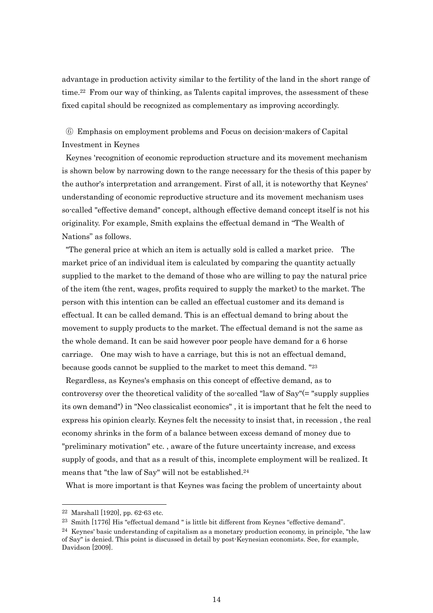advantage in production activity similar to the fertility of the land in the short range of time.<sup>22</sup> From our way of thinking, as Talents capital improves, the assessment of these fixed capital should be recognized as complementary as improving accordingly.

⑥ Emphasis on employment problems and Focus on decision-makers of Capital Investment in Keynes

Keynes 'recognition of economic reproduction structure and its movement mechanism is shown below by narrowing down to the range necessary for the thesis of this paper by the author's interpretation and arrangement. First of all, it is noteworthy that Keynes' understanding of economic reproductive structure and its movement mechanism uses so-called "effective demand" concept, although effective demand concept itself is not his originality. For example, Smith explains the effectual demand in "The Wealth of Nations" as follows.

"The general price at which an item is actually sold is called a market price. The market price of an individual item is calculated by comparing the quantity actually supplied to the market to the demand of those who are willing to pay the natural price of the item (the rent, wages, profits required to supply the market) to the market. The person with this intention can be called an effectual customer and its demand is effectual. It can be called demand. This is an effectual demand to bring about the movement to supply products to the market. The effectual demand is not the same as the whole demand. It can be said however poor people have demand for a 6 horse carriage. One may wish to have a carriage, but this is not an effectual demand, because goods cannot be supplied to the market to meet this demand. "<sup>23</sup>

Regardless, as Keynes's emphasis on this concept of effective demand, as to controversy over the theoretical validity of the so-called "law of Say"(= "supply supplies its own demand") in "Neo classicalist economics" , it is important that he felt the need to express his opinion clearly. Keynes felt the necessity to insist that, in recession , the real economy shrinks in the form of a balance between excess demand of money due to "preliminary motivation" etc. , aware of the future uncertainty increase, and excess supply of goods, and that as a result of this, incomplete employment will be realized. It means that "the law of Say" will not be established.<sup>24</sup>

What is more important is that Keynes was facing the problem of uncertainty about

<sup>22</sup> Marshall [1920], pp. 62-63 etc.

<sup>23</sup> Smith [1776] His "effectual demand " is little bit different from Keynes "effective demand".

 $^{24}$  Keynes' basic understanding of capitalism as a monetary production economy, in principle, "the law of Say" is denied. This point is discussed in detail by post-Keynesian economists. See, for example, Davidson [2009].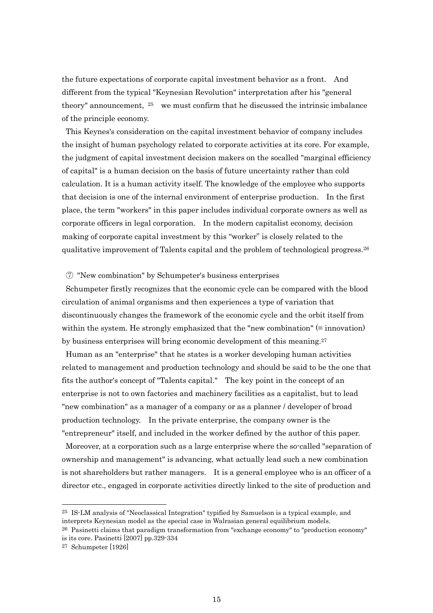the future expectations of corporate capital investment behavior as a front. And different from the typical "Keynesian Revolution" interpretation after his "general theory" announcement,  $25$  we must confirm that he discussed the intrinsic imbalance of the principle economy.

This Keynes's consideration on the capital investment behavior of company includes the insight of human psychology related to corporate activities at its core. For example, the judgment of capital investment decision makers on the socalled "marginal efficiency of capital" is a human decision on the basis of future uncertainty rather than cold calculation. It is a human activity itself. The knowledge of the employee who supports that decision is one of the internal environment of enterprise production. In the first place, the term "workers" in this paper includes individual corporate owners as well as corporate officers in legal corporation. In the modern capitalist economy, decision making of corporate capital investment by this "worker" is closely related to the qualitative improvement of Talents capital and the problem of technological progress.<sup>26</sup>

# ⑦ "New combination" by Schumpeter's business enterprises

Schumpeter firstly recognizes that the economic cycle can be compared with the blood circulation of animal organisms and then experiences a type of variation that discontinuously changes the framework of the economic cycle and the orbit itself from within the system. He strongly emphasized that the "new combination" (= innovation) by business enterprises will bring economic development of this meaning.<sup>27</sup>

Human as an "enterprise" that he states is a worker developing human activities related to management and production technology and should be said to be the one that fits the author's concept of "Talents capital." The key point in the concept of an enterprise is not to own factories and machinery facilities as a capitalist, but to lead "new combination" as a manager of a company or as a planner / developer of broad production technology. In the private enterprise, the company owner is the "entrepreneur" itself, and included in the worker defined by the author of this paper.

Moreover, at a corporation such as a large enterprise where the so-called "separation of ownership and management" is advancing, what actually lead such a new combination is not shareholders but rather managers. It is a general employee who is an officer of a director etc., engaged in corporate activities directly linked to the site of production and

<sup>25</sup> IS-LM analysis of "Neoclassical Integration" typified by Samuelson is a typical example, and

interprets Keynesian model as the special case in Walrasian general equilibrium models.

 $26$  Pasinetti claims that paradigm transformation from "exchange economy" to "production economy" is its core. Pasinetti [2007] pp.329-334

<sup>27</sup> Schumpeter [1926]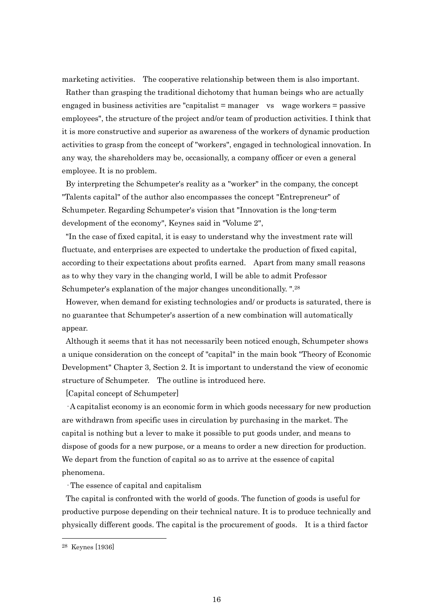marketing activities. The cooperative relationship between them is also important.

Rather than grasping the traditional dichotomy that human beings who are actually engaged in business activities are "capitalist = manager vs wage workers = passive employees", the structure of the project and/or team of production activities. I think that it is more constructive and superior as awareness of the workers of dynamic production activities to grasp from the concept of "workers", engaged in technological innovation. In any way, the shareholders may be, occasionally, a company officer or even a general employee. It is no problem.

By interpreting the Schumpeter's reality as a "worker" in the company, the concept "Talents capital" of the author also encompasses the concept "Entrepreneur" of Schumpeter. Regarding Schumpeter's vision that "Innovation is the long-term development of the economy", Keynes said in "Volume 2",

"In the case of fixed capital, it is easy to understand why the investment rate will fluctuate, and enterprises are expected to undertake the production of fixed capital, according to their expectations about profits earned. Apart from many small reasons as to why they vary in the changing world, I will be able to admit Professor Schumpeter's explanation of the major changes unconditionally. ".<sup>28</sup>

However, when demand for existing technologies and/ or products is saturated, there is no guarantee that Schumpeter's assertion of a new combination will automatically appear.

Although it seems that it has not necessarily been noticed enough, Schumpeter shows a unique consideration on the concept of "capital" in the main book "Theory of Economic Development" Chapter 3, Section 2. It is important to understand the view of economic structure of Schumpeter. The outline is introduced here.

[Capital concept of Schumpeter]

· A capitalist economy is an economic form in which goods necessary for new production are withdrawn from specific uses in circulation by purchasing in the market. The capital is nothing but a lever to make it possible to put goods under, and means to dispose of goods for a new purpose, or a means to order a new direction for production. We depart from the function of capital so as to arrive at the essence of capital phenomena.

· The essence of capital and capitalism

The capital is confronted with the world of goods. The function of goods is useful for productive purpose depending on their technical nature. It is to produce technically and physically different goods. The capital is the procurement of goods. It is a third factor

<sup>28</sup> Keynes [1936]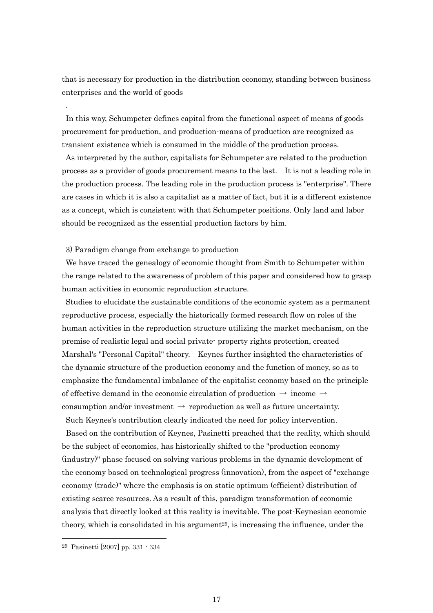that is necessary for production in the distribution economy, standing between business enterprises and the world of goods

In this way, Schumpeter defines capital from the functional aspect of means of goods procurement for production, and production-means of production are recognized as transient existence which is consumed in the middle of the production process.

As interpreted by the author, capitalists for Schumpeter are related to the production process as a provider of goods procurement means to the last. It is not a leading role in the production process. The leading role in the production process is "enterprise". There are cases in which it is also a capitalist as a matter of fact, but it is a different existence as a concept, which is consistent with that Schumpeter positions. Only land and labor should be recognized as the essential production factors by him.

#### 3) Paradigm change from exchange to production

.

We have traced the genealogy of economic thought from Smith to Schumpeter within the range related to the awareness of problem of this paper and considered how to grasp human activities in economic reproduction structure.

Studies to elucidate the sustainable conditions of the economic system as a permanent reproductive process, especially the historically formed research flow on roles of the human activities in the reproduction structure utilizing the market mechanism, on the premise of realistic legal and social private- property rights protection, created Marshal's "Personal Capital" theory. Keynes further insighted the characteristics of the dynamic structure of the production economy and the function of money, so as to emphasize the fundamental imbalance of the capitalist economy based on the principle of effective demand in the economic circulation of production  $\rightarrow$  income  $\rightarrow$ consumption and/or investment  $\rightarrow$  reproduction as well as future uncertainty. Such Keynes's contribution clearly indicated the need for policy intervention.

Based on the contribution of Keynes, Pasinetti preached that the reality, which should be the subject of economics, has historically shifted to the "production economy (industry)" phase focused on solving various problems in the dynamic development of the economy based on technological progress (innovation), from the aspect of "exchange economy (trade)" where the emphasis is on static optimum (efficient) distribution of existing scarce resources. As a result of this, paradigm transformation of economic analysis that directly looked at this reality is inevitable. The post-Keynesian economic theory, which is consolidated in his argument<sup>29</sup>, is increasing the influence, under the

<sup>29</sup> Pasinetti [2007] pp. 331 - 334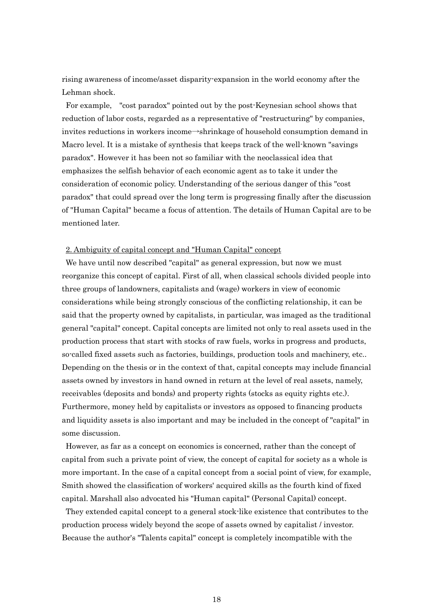rising awareness of income/asset disparity-expansion in the world economy after the Lehman shock.

For example, "cost paradox" pointed out by the post-Keynesian school shows that reduction of labor costs, regarded as a representative of "restructuring" by companies, invites reductions in workers income→shrinkage of household consumption demand in Macro level. It is a mistake of synthesis that keeps track of the well-known "savings paradox". However it has been not so familiar with the neoclassical idea that emphasizes the selfish behavior of each economic agent as to take it under the consideration of economic policy. Understanding of the serious danger of this "cost paradox" that could spread over the long term is progressing finally after the discussion of "Human Capital" became a focus of attention. The details of Human Capital are to be mentioned later.

# 2. Ambiguity of capital concept and "Human Capital" concept

We have until now described "capital" as general expression, but now we must reorganize this concept of capital. First of all, when classical schools divided people into three groups of landowners, capitalists and (wage) workers in view of economic considerations while being strongly conscious of the conflicting relationship, it can be said that the property owned by capitalists, in particular, was imaged as the traditional general "capital" concept. Capital concepts are limited not only to real assets used in the production process that start with stocks of raw fuels, works in progress and products, so-called fixed assets such as factories, buildings, production tools and machinery, etc.. Depending on the thesis or in the context of that, capital concepts may include financial assets owned by investors in hand owned in return at the level of real assets, namely, receivables (deposits and bonds) and property rights (stocks as equity rights etc.). Furthermore, money held by capitalists or investors as opposed to financing products and liquidity assets is also important and may be included in the concept of "capital" in some discussion.

However, as far as a concept on economics is concerned, rather than the concept of capital from such a private point of view, the concept of capital for society as a whole is more important. In the case of a capital concept from a social point of view, for example, Smith showed the classification of workers' acquired skills as the fourth kind of fixed capital. Marshall also advocated his "Human capital" (Personal Capital) concept.

They extended capital concept to a general stock-like existence that contributes to the production process widely beyond the scope of assets owned by capitalist / investor. Because the author's "Talents capital" concept is completely incompatible with the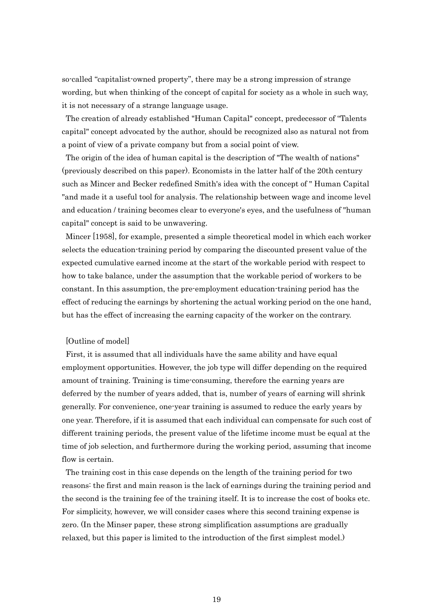so-called "capitalist-owned property", there may be a strong impression of strange wording, but when thinking of the concept of capital for society as a whole in such way, it is not necessary of a strange language usage.

The creation of already established "Human Capital" concept, predecessor of "Talents capital" concept advocated by the author, should be recognized also as natural not from a point of view of a private company but from a social point of view.

The origin of the idea of human capital is the description of "The wealth of nations" (previously described on this paper). Economists in the latter half of the 20th century such as Mincer and Becker redefined Smith's idea with the concept of " Human Capital "and made it a useful tool for analysis. The relationship between wage and income level and education / training becomes clear to everyone's eyes, and the usefulness of "human capital" concept is said to be unwavering.

Mincer [1958], for example, presented a simple theoretical model in which each worker selects the education-training period by comparing the discounted present value of the expected cumulative earned income at the start of the workable period with respect to how to take balance, under the assumption that the workable period of workers to be constant. In this assumption, the pre-employment education-training period has the effect of reducing the earnings by shortening the actual working period on the one hand, but has the effect of increasing the earning capacity of the worker on the contrary.

# [Outline of model]

First, it is assumed that all individuals have the same ability and have equal employment opportunities. However, the job type will differ depending on the required amount of training. Training is time-consuming, therefore the earning years are deferred by the number of years added, that is, number of years of earning will shrink generally. For convenience, one-year training is assumed to reduce the early years by one year. Therefore, if it is assumed that each individual can compensate for such cost of different training periods, the present value of the lifetime income must be equal at the time of job selection, and furthermore during the working period, assuming that income flow is certain.

The training cost in this case depends on the length of the training period for two reasons: the first and main reason is the lack of earnings during the training period and the second is the training fee of the training itself. It is to increase the cost of books etc. For simplicity, however, we will consider cases where this second training expense is zero. (In the Minser paper, these strong simplification assumptions are gradually relaxed, but this paper is limited to the introduction of the first simplest model.)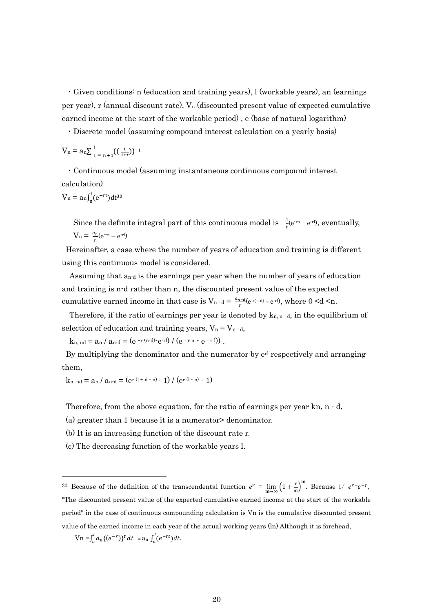・Given conditions: n (education and training years), l (workable years), an (earnings per year), r (annual discount rate),  $V_n$  (discounted present value of expected cumulative earned income at the start of the workable period) , e (base of natural logarithm)

・Discrete model (assuming compound interest calculation on a yearly basis)

$$
V_n = a_n \sum_{t = n + 1}^{l} \{ \left( \frac{1}{1+r} \right) \} ^t
$$

・Continuous model (assuming instantaneous continuous compound interest calculation)

$$
V_n = a_n \int_n^1 (e^{-rt}) dt^{30}
$$

Since the definite integral part of this continuous model is  $\frac{1}{r}$  (e<sup>-m</sup> - e<sup>-rl</sup>), eventually,  $V_n = \frac{a_n}{a_n}$  $\frac{\mu_n}{r}$ (e<sup>-rn</sup> – e<sup>-rl</sup>)

Hereinafter, a case where the number of years of education and training is different using this continuous model is considered.

 Assuming that an-d is the earnings per year when the number of years of education and training is n-d rather than n, the discounted present value of the expected cumulative earned income in that case is  $V_{n-d} = \frac{a_{n-d}}{a}$  $\frac{n-d}{r}(e^{-r(n-d)} - e^{-r l}),$  where  $0 \le d \le n$ .

Therefore, if the ratio of earnings per year is denoted by  $k_{n,n-d}$ , in the equilibrium of selection of education and training years,  $V_n = V_{n-d}$ ,

 $k_{n, nd} = a_n / a_{n-d} = (e^{-r (n-d)} - e^{-r l}) / (e^{-r n} - e^{-r l})$ .

By multiplying the denominator and the numerator by  $e^{rl}$  respectively and arranging them,

$$
k_{n, nd} = a_n / a_{n-d} = (e^{r(1+d-n)} - 1) / (e^{r(1-n)} - 1)
$$

Therefore, from the above equation, for the ratio of earnings per year kn,  $n - d$ ,

(a) greater than 1 because it is a numerator> denominator.

(b) It is an increasing function of the discount rate r.

(c) The decreasing function of the workable years l.

 $\text{Vn} = \int_{n}^{l} a_n \{ (e^{-r}) \}^t$  $\int_{n}^{l} a_n \{ (e^{-r}) \}^t dt = a_n \int_{n}^{l} (e^{-rt}) dt.$ 

<sup>30</sup> Because of the definition of the transcendental function  $e^r = \lim_{m \to \infty} \left(1 + \frac{r}{m}\right)^m$ . Because  $1/e^{r} = e^{-r}$ , "The discounted present value of the expected cumulative earned income at the start of the workable period" in the case of continuous compounding calculation is Vn is the cumulative discounted present value of the earned income in each year of the actual working years (ln) Although it is forehead,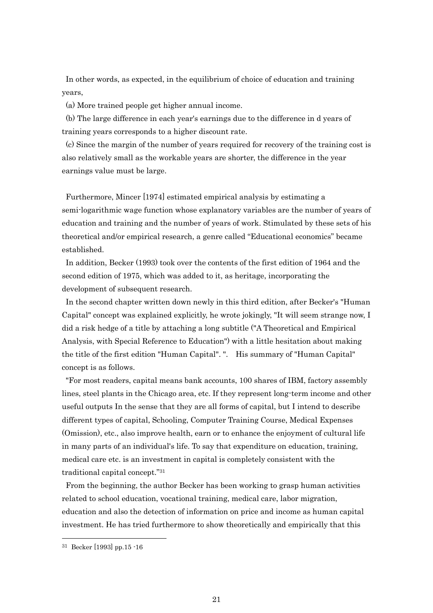In other words, as expected, in the equilibrium of choice of education and training years,

(a) More trained people get higher annual income.

(b) The large difference in each year's earnings due to the difference in d years of training years corresponds to a higher discount rate.

(c) Since the margin of the number of years required for recovery of the training cost is also relatively small as the workable years are shorter, the difference in the year earnings value must be large.

Furthermore, Mincer [1974] estimated empirical analysis by estimating a semi-logarithmic wage function whose explanatory variables are the number of years of education and training and the number of years of work. Stimulated by these sets of his theoretical and/or empirical research, a genre called "Educational economics" became established.

In addition, Becker (1993) took over the contents of the first edition of 1964 and the second edition of 1975, which was added to it, as heritage, incorporating the development of subsequent research.

In the second chapter written down newly in this third edition, after Becker's "Human Capital" concept was explained explicitly, he wrote jokingly, "It will seem strange now, I did a risk hedge of a title by attaching a long subtitle ("A Theoretical and Empirical Analysis, with Special Reference to Education") with a little hesitation about making the title of the first edition "Human Capital". ". His summary of "Human Capital" concept is as follows.

"For most readers, capital means bank accounts, 100 shares of IBM, factory assembly lines, steel plants in the Chicago area, etc. If they represent long-term income and other useful outputs In the sense that they are all forms of capital, but I intend to describe different types of capital, Schooling, Computer Training Course, Medical Expenses (Omission), etc., also improve health, earn or to enhance the enjoyment of cultural life in many parts of an individual's life. To say that expenditure on education, training, medical care etc. is an investment in capital is completely consistent with the traditional capital concept." 31

From the beginning, the author Becker has been working to grasp human activities related to school education, vocational training, medical care, labor migration, education and also the detection of information on price and income as human capital investment. He has tried furthermore to show theoretically and empirically that this

<sup>31</sup> Becker [1993] pp.15 -16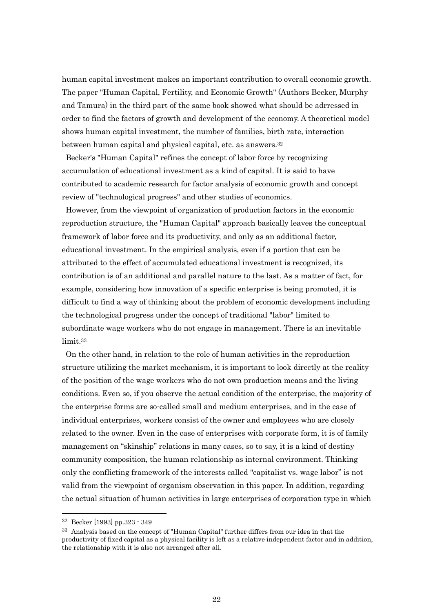human capital investment makes an important contribution to overall economic growth. The paper "Human Capital, Fertility, and Economic Growth" (Authors Becker, Murphy and Tamura) in the third part of the same book showed what should be adrressed in order to find the factors of growth and development of the economy. A theoretical model shows human capital investment, the number of families, birth rate, interaction between human capital and physical capital, etc. as answers.<sup>32</sup>

Becker's "Human Capital" refines the concept of labor force by recognizing accumulation of educational investment as a kind of capital. It is said to have contributed to academic research for factor analysis of economic growth and concept review of "technological progress" and other studies of economics.

However, from the viewpoint of organization of production factors in the economic reproduction structure, the "Human Capital" approach basically leaves the conceptual framework of labor force and its productivity, and only as an additional factor, educational investment. In the empirical analysis, even if a portion that can be attributed to the effect of accumulated educational investment is recognized, its contribution is of an additional and parallel nature to the last. As a matter of fact, for example, considering how innovation of a specific enterprise is being promoted, it is difficult to find a way of thinking about the problem of economic development including the technological progress under the concept of traditional "labor" limited to subordinate wage workers who do not engage in management. There is an inevitable limit.<sup>33</sup>

On the other hand, in relation to the role of human activities in the reproduction structure utilizing the market mechanism, it is important to look directly at the reality of the position of the wage workers who do not own production means and the living conditions. Even so, if you observe the actual condition of the enterprise, the majority of the enterprise forms are so-called small and medium enterprises, and in the case of individual enterprises, workers consist of the owner and employees who are closely related to the owner. Even in the case of enterprises with corporate form, it is of family management on "skinship" relations in many cases, so to say, it is a kind of destiny community composition, the human relationship as internal environment. Thinking only the conflicting framework of the interests called "capitalist vs. wage labor" is not valid from the viewpoint of organism observation in this paper. In addition, regarding the actual situation of human activities in large enterprises of corporation type in which

<sup>32</sup> Becker [1993] pp.323 - 349

<sup>&</sup>lt;sup>33</sup> Analysis based on the concept of "Human Capital" further differs from our idea in that the productivity of fixed capital as a physical facility is left as a relative independent factor and in addition, the relationship with it is also not arranged after all.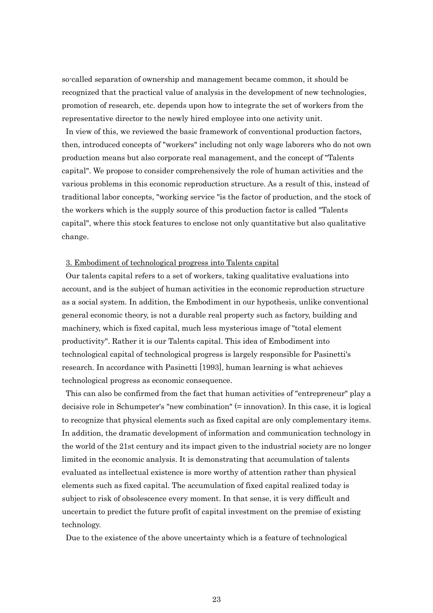so-called separation of ownership and management became common, it should be recognized that the practical value of analysis in the development of new technologies, promotion of research, etc. depends upon how to integrate the set of workers from the representative director to the newly hired employee into one activity unit.

In view of this, we reviewed the basic framework of conventional production factors, then, introduced concepts of "workers" including not only wage laborers who do not own production means but also corporate real management, and the concept of "Talents capital". We propose to consider comprehensively the role of human activities and the various problems in this economic reproduction structure. As a result of this, instead of traditional labor concepts, "working service "is the factor of production, and the stock of the workers which is the supply source of this production factor is called "Talents capital", where this stock features to enclose not only quantitative but also qualitative change.

#### 3. Embodiment of technological progress into Talents capital

Our talents capital refers to a set of workers, taking qualitative evaluations into account, and is the subject of human activities in the economic reproduction structure as a social system. In addition, the Embodiment in our hypothesis, unlike conventional general economic theory, is not a durable real property such as factory, building and machinery, which is fixed capital, much less mysterious image of "total element productivity". Rather it is our Talents capital. This idea of Embodiment into technological capital of technological progress is largely responsible for Pasinetti's research. In accordance with Pasinetti [1993], human learning is what achieves technological progress as economic consequence.

This can also be confirmed from the fact that human activities of "entrepreneur" play a decisive role in Schumpeter's "new combination" (= innovation). In this case, it is logical to recognize that physical elements such as fixed capital are only complementary items. In addition, the dramatic development of information and communication technology in the world of the 21st century and its impact given to the industrial society are no longer limited in the economic analysis. It is demonstrating that accumulation of talents evaluated as intellectual existence is more worthy of attention rather than physical elements such as fixed capital. The accumulation of fixed capital realized today is subject to risk of obsolescence every moment. In that sense, it is very difficult and uncertain to predict the future profit of capital investment on the premise of existing technology.

Due to the existence of the above uncertainty which is a feature of technological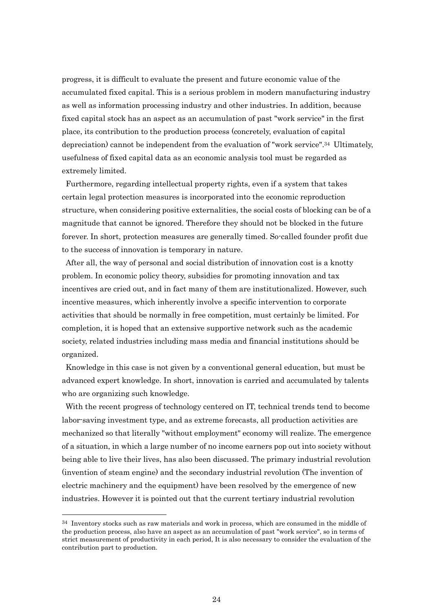progress, it is difficult to evaluate the present and future economic value of the accumulated fixed capital. This is a serious problem in modern manufacturing industry as well as information processing industry and other industries. In addition, because fixed capital stock has an aspect as an accumulation of past "work service" in the first place, its contribution to the production process (concretely, evaluation of capital depreciation) cannot be independent from the evaluation of "work service".34 Ultimately, usefulness of fixed capital data as an economic analysis tool must be regarded as extremely limited.

Furthermore, regarding intellectual property rights, even if a system that takes certain legal protection measures is incorporated into the economic reproduction structure, when considering positive externalities, the social costs of blocking can be of a magnitude that cannot be ignored. Therefore they should not be blocked in the future forever. In short, protection measures are generally timed. So-called founder profit due to the success of innovation is temporary in nature.

After all, the way of personal and social distribution of innovation cost is a knotty problem. In economic policy theory, subsidies for promoting innovation and tax incentives are cried out, and in fact many of them are institutionalized. However, such incentive measures, which inherently involve a specific intervention to corporate activities that should be normally in free competition, must certainly be limited. For completion, it is hoped that an extensive supportive network such as the academic society, related industries including mass media and financial institutions should be organized.

Knowledge in this case is not given by a conventional general education, but must be advanced expert knowledge. In short, innovation is carried and accumulated by talents who are organizing such knowledge.

With the recent progress of technology centered on IT, technical trends tend to become labor-saving investment type, and as extreme forecasts, all production activities are mechanized so that literally "without employment" economy will realize. The emergence of a situation, in which a large number of no income earners pop out into society without being able to live their lives, has also been discussed. The primary industrial revolution (invention of steam engine) and the secondary industrial revolution (The invention of electric machinery and the equipment) have been resolved by the emergence of new industries. However it is pointed out that the current tertiary industrial revolution

<sup>&</sup>lt;sup>34</sup> Inventory stocks such as raw materials and work in process, which are consumed in the middle of the production process, also have an aspect as an accumulation of past "work service", so in terms of strict measurement of productivity in each period, It is also necessary to consider the evaluation of the contribution part to production.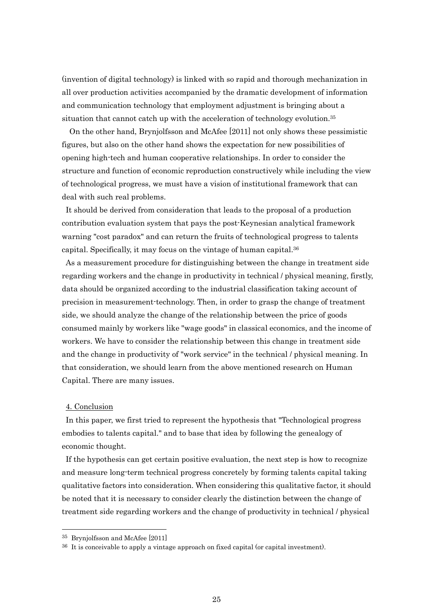(invention of digital technology) is linked with so rapid and thorough mechanization in all over production activities accompanied by the dramatic development of information and communication technology that employment adjustment is bringing about a situation that cannot catch up with the acceleration of technology evolution.<sup>35</sup>

On the other hand, Brynjolfsson and McAfee [2011] not only shows these pessimistic figures, but also on the other hand shows the expectation for new possibilities of opening high-tech and human cooperative relationships. In order to consider the structure and function of economic reproduction constructively while including the view of technological progress, we must have a vision of institutional framework that can deal with such real problems.

It should be derived from consideration that leads to the proposal of a production contribution evaluation system that pays the post-Keynesian analytical framework warning "cost paradox" and can return the fruits of technological progress to talents capital. Specifically, it may focus on the vintage of human capital.<sup>36</sup>

As a measurement procedure for distinguishing between the change in treatment side regarding workers and the change in productivity in technical / physical meaning, firstly, data should be organized according to the industrial classification taking account of precision in measurement-technology. Then, in order to grasp the change of treatment side, we should analyze the change of the relationship between the price of goods consumed mainly by workers like "wage goods" in classical economics, and the income of workers. We have to consider the relationship between this change in treatment side and the change in productivity of "work service" in the technical / physical meaning. In that consideration, we should learn from the above mentioned research on Human Capital. There are many issues.

#### 4. Conclusion

1

In this paper, we first tried to represent the hypothesis that "Technological progress embodies to talents capital." and to base that idea by following the genealogy of economic thought.

If the hypothesis can get certain positive evaluation, the next step is how to recognize and measure long-term technical progress concretely by forming talents capital taking qualitative factors into consideration. When considering this qualitative factor, it should be noted that it is necessary to consider clearly the distinction between the change of treatment side regarding workers and the change of productivity in technical / physical

<sup>35</sup> Brynjolfsson and McAfee [2011]

<sup>36</sup> It is conceivable to apply a vintage approach on fixed capital (or capital investment).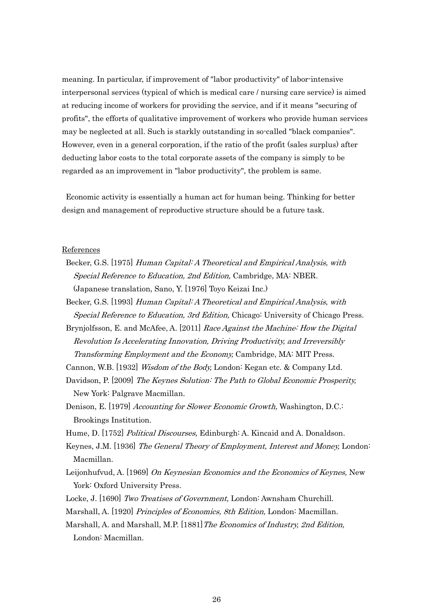meaning. In particular, if improvement of "labor productivity" of labor-intensive interpersonal services (typical of which is medical care / nursing care service) is aimed at reducing income of workers for providing the service, and if it means "securing of profits", the efforts of qualitative improvement of workers who provide human services may be neglected at all. Such is starkly outstanding in so-called "black companies". However, even in a general corporation, if the ratio of the profit (sales surplus) after deducting labor costs to the total corporate assets of the company is simply to be regarded as an improvement in "labor productivity", the problem is same.

Economic activity is essentially a human act for human being. Thinking for better design and management of reproductive structure should be a future task.

#### References

- Becker, G.S. [1975] Human Capital: A Theoretical and Empirical Analysis, with Special Reference to Education, 2nd Edition, Cambridge, MA: NBER. (Japanese translation, Sano, Y. [1976] Toyo Keizai Inc.)
- Becker, G.S. [1993] Human Capital: A Theoretical and Empirical Analysis, with Special Reference to Education, 3rd Edition, Chicago: University of Chicago Press.
- Brynjolfsson, E. and McAfee, A. [2011] Race Against the Machine: How the Digital Revolution Is Accelerating Innovation, Driving Productivity, and Irreversibly Transforming Employment and the Economy, Cambridge, MA: MIT Press.
- Cannon, W.B. [1932] Wisdom of the Body, London: Kegan etc. & Company Ltd.
- Davidson, P. [2009] The Keynes Solution: The Path to Global Economic Prosperity, New York: Palgrave Macmillan.
- Denison, E. [1979] Accounting for Slower Economic Growth, Washington, D.C.: Brookings Institution.
- Hume, D. [1752] Political Discourses, Edinburgh: A. Kincaid and A. Donaldson.
- Keynes, J.M. [1936] The General Theory of Employment, Interest and Money, London: Macmillan.
- Leijonhufvud, A. [1969] On Keynesian Economics and the Economics of Keynes, New York: Oxford University Press.
- Locke, J. [1690] Two Treatises of Government, London: Awnsham Churchill.
- Marshall, A. [1920] Principles of Economics, 8th Edition, London: Macmillan.
- Marshall, A. and Marshall, M.P. [1881]The Economics of Industry, 2nd Edition, London: Macmillan.